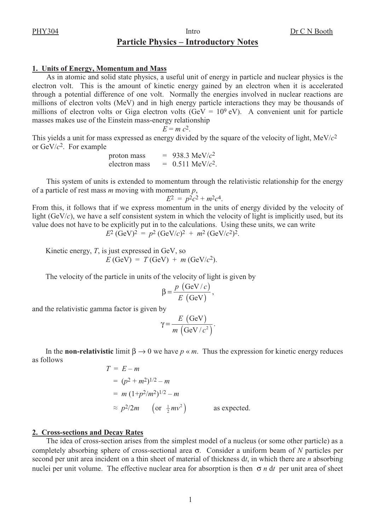# PHY304 Intro Dr C N Booth **Particle Physics – Introductory Notes**

## **1. Units of Energy, Momentum and Mass**

As in atomic and solid state physics, a useful unit of energy in particle and nuclear physics is the electron volt. This is the amount of kinetic energy gained by an electron when it is accelerated through a potential difference of one volt. Normally the energies involved in nuclear reactions are millions of electron volts (MeV) and in high energy particle interactions they may be thousands of millions of electron volts or Giga electron volts (GeV =  $10^9$  eV). A convenient unit for particle masses makes use of the Einstein mass-energy relationship

$$
E = mc^2.
$$

This yields a unit for mass expressed as energy divided by the square of the velocity of light, MeV/*c* 2 or GeV/*c* 2. For example

$$
proton mass = 938.3 MeV/c2
$$
  
electron mass = 0.511 MeV/c<sup>2</sup>.

This system of units is extended to momentum through the relativistic relationship for the energy of a particle of rest mass *m* moving with momentum *p*,

$$
E^2 = p^2c^2 + m^2c^4.
$$

From this, it follows that if we express momentum in the units of energy divided by the velocity of light (GeV/*c*), we have a self consistent system in which the velocity of light is implicitly used, but its value does not have to be explicitly put in to the calculations. Using these units, we can write  $E^2$  (GeV)<sup>2</sup> =  $p^2$  (GeV/*c*)<sup>2</sup> +  $m^2$  (GeV/*c*<sup>2</sup>)<sup>2</sup>.

Kinetic energy, *T*, is just expressed in GeV, so  
\n
$$
E \text{ (GeV)} = T \text{ (GeV)} + m \text{ (GeV/}c^2).
$$

The velocity of the particle in units of the velocity of light is given by

$$
\beta = \frac{p (\text{GeV}/c)}{E (\text{GeV})},
$$

and the relativistic gamma factor is given by

$$
\gamma = \frac{E\text{ (GeV)}}{m\text{ (GeV/}c^2)}.
$$

In the **non-relativistic** limit  $\beta \to 0$  we have  $p \ll m$ . Thus the expression for kinetic energy reduces as follows

$$
T = E - m
$$
  
=  $(p^2 + m^2)^{1/2} - m$   
=  $m (1+p^2/m^2)^{1/2} - m$   
 $\approx p^2/2m$  (or  $\frac{1}{2}mv^2$ ) as expected.

#### **2. Cross-sections and Decay Rates**

The idea of cross-section arises from the simplest model of a nucleus (or some other particle) as a completely absorbing sphere of cross-sectional area σ. Consider a uniform beam of *N* particles per second per unit area incident on a thin sheet of material of thickness d*t*, in which there are *n* absorbing nuclei per unit volume. The effective nuclear area for absorption is then  $\sigma n$  dt per unit area of sheet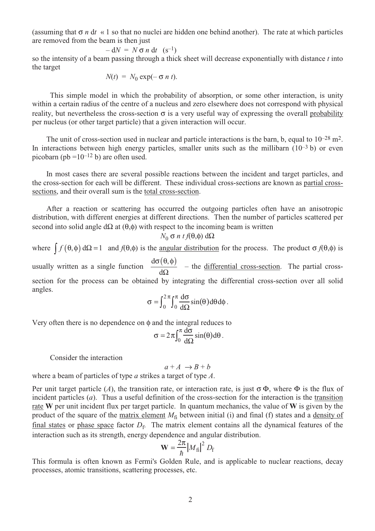(assuming that  $\sigma$  *n* dt  $\alpha$  1 so that no nuclei are hidden one behind another). The rate at which particles are removed from the beam is then just

$$
-dN = N \sigma n dt \quad (s^{-1})
$$

so the intensity of a beam passing through a thick sheet will decrease exponentially with distance *t* into the target

$$
N(t) = N_0 \exp(-\sigma n t).
$$

This simple model in which the probability of absorption, or some other interaction, is unity within a certain radius of the centre of a nucleus and zero elsewhere does not correspond with physical reality, but nevertheless the cross-section  $\sigma$  is a very useful way of expressing the overall probability per nucleus (or other target particle) that a given interaction will occur.

The unit of cross-section used in nuclear and particle interactions is the barn, b, equal to  $10^{-28}$  m<sup>2</sup>. In interactions between high energy particles, smaller units such as the millibarn  $(10^{-3} b)$  or even picobarn (pb =10<sup>-12</sup> b) are often used.

In most cases there are several possible reactions between the incident and target particles, and the cross-section for each will be different. These individual cross-sections are known as partial crosssections, and their overall sum is the total cross-section.

After a reaction or scattering has occurred the outgoing particles often have an anisotropic distribution, with different energies at different directions. Then the number of particles scattered per second into solid angle  $d\Omega$  at  $(\theta,\phi)$  with respect to the incoming beam is written

$$
N_0 \sigma n \, t \, f(\theta, \phi) \, d\Omega
$$

where  $\int f(\theta, \phi) d\Omega = 1$  and  $f(\theta, \phi)$  is the <u>angular distribution</u> for the process. The product  $\sigma f(\theta, \phi)$  is usually written as a single function  $\frac{d\sigma(\theta,\phi)}{d\Omega}$ d  $\sigma(\theta,\phi$  $\Omega$ – the <u>differential cross-section</u>. The partial crosssection for the process can be obtained by integrating the differential cross-section over all solid angles.

$$
\sigma = \int_0^{2\pi} \int_0^{\pi} \frac{d\sigma}{d\Omega} \sin(\theta) d\theta d\phi.
$$

Very often there is no dependence on  $\phi$  and the integral reduces to

$$
\sigma = 2\pi \int_0^{\pi} \frac{d\sigma}{d\Omega} \sin(\theta) d\theta.
$$

Consider the interaction

$$
a + A \rightarrow B + b
$$

where a beam of particles of type *a* strikes a target of type *A*.

Per unit target particle (*A*), the transition rate, or interaction rate, is just  $\sigma \Phi$ , where  $\Phi$  is the flux of incident particles (*a*). Thus a useful definition of the cross-section for the interaction is the transition rate **W** per unit incident flux per target particle. In quantum mechanics, the value of **W** is given by the product of the square of the <u>matrix element</u>  $M_{fi}$  between initial (i) and final (f) states and a density of final states or phase space factor  $D_f$ . The matrix element contains all the dynamical features of the interaction such as its strength, energy dependence and angular distribution.

$$
\mathbf{W} = \frac{2\pi}{\hbar} \left| M_{\rm fi} \right|^2 D_{\rm f}
$$

This formula is often known as Fermi's Golden Rule, and is applicable to nuclear reactions, decay processes, atomic transitions, scattering processes, etc.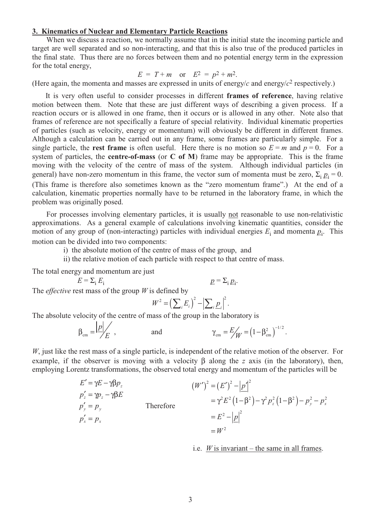## **3. Kinematics of Nuclear and Elementary Particle Reactions**

When we discuss a reaction, we normally assume that in the initial state the incoming particle and target are well separated and so non-interacting, and that this is also true of the produced particles in the final state. Thus there are no forces between them and no potential energy term in the expression for the total energy,

$$
E = T + m
$$
 or  $E^2 = p^2 + m^2$ .

(Here again, the momenta and masses are expressed in units of energy/ $c$  and energy/ $c^2$  respectively.)

It is very often useful to consider processes in different **frames of reference**, having relative motion between them. Note that these are just different ways of describing a given process. If a reaction occurs or is allowed in one frame, then it occurs or is allowed in any other. Note also that frames of reference are not specifically a feature of special relativity. Individual kinematic properties of particles (such as velocity, energy or momentum) will obviously be different in different frames. Although a calculation can be carried out in any frame, some frames are particularly simple. For a single particle, the **rest frame** is often useful. Here there is no motion so  $E = m$  and  $p = 0$ . For a system of particles, the **centre-of-mass** (or **C of M**) frame may be appropriate. This is the frame moving with the velocity of the centre of mass of the system. Although individual particles (in general) have non-zero momentum in this frame, the vector sum of momenta must be zero,  $\Sigma_i p_i = 0$ . (This frame is therefore also sometimes known as the "zero momentum frame".) At the end of a calculation, kinematic properties normally have to be returned in the laboratory frame, in which the problem was originally posed.

For processes involving elementary particles, it is usually not reasonable to use non-relativistic approximations. As a general example of calculations involving kinematic quantities, consider the motion of any group of (non-interacting) particles with individual energies  $E_i$  and momenta  $p_i$ . This motion can be divided into two components:

i) the absolute motion of the centre of mass of the group, and

ii) the relative motion of each particle with respect to that centre of mass.

The total energy and momentum are just

$$
E = \sum_{i} E_{i}
$$
  
 
$$
p = \sum_{i} p_{i}.
$$

The *effective* rest mass of the group *W* is defined by

$$
W^2 = \left(\sum_i E_i\right)^2 - \left|\sum_i \underline{P}_i\right|^2.
$$

The absolute velocity of the centre of mass of the group in the laboratory is

$$
\beta_{\rm cm} = \frac{|p|}{E}
$$
, and  $\gamma_{\rm cm} = \frac{E}{W} = (1 - \beta_{\rm cm}^2)^{-1/2}$ .

*W*, just like the rest mass of a single particle, is independent of the relative motion of the observer. For example, if the observer is moving with a velocity β along the *z* axis (in the laboratory), then, employing Lorentz transformations, the observed total energy and momentum of the particles will be

$$
E' = \gamma E - \gamma \beta p_z
$$
  
\n
$$
p'_z = \gamma p_z - \gamma \beta E
$$
  
\n
$$
p'_y = p_y
$$
  
\n
$$
p'_x = p_x
$$
  
\nTherefore  
\n
$$
p'_x = p_x
$$
  
\nTherefore  
\n
$$
p'_y = p_x
$$
  
\n
$$
= E^2 - |\underline{p}|^2
$$
  
\n
$$
= W^2
$$

i.e. *W* is invariant – the same in all frames.